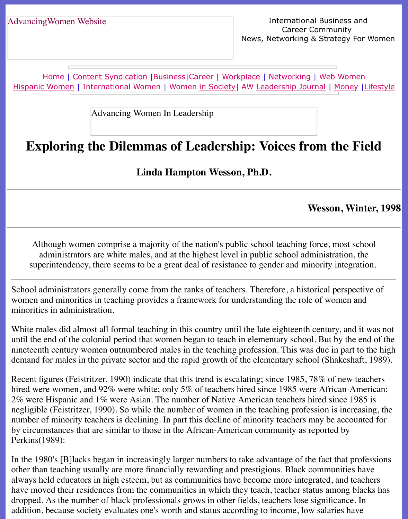Home | Content Syndication | Business | Career | Workplace | Networking | Web Wo Hispanic Women | International Women | Women in Society | AW Leadership Journal | Mon

Advancing Women In Leadership

# **[Ex](file:///hispanic.html)[plor](http://www.advancingwomen.com/index.html)[i](file:///hispanic.html)[ng the Dilemm](file:///content.html)[as of](file:///business.html) [Leade](file:///awcareer.html)[rship:](file:///workplace.html) [V](file:///awl/awl.html)[oices fro](file:///networks.html)m the**

**Linda Hampton Wesson, Ph.D.**

#### Wesson,

Although women comprise a majority of the nation's public school teaching force, mos administrators are white males, and at the highest level in public school administration, superintendency, there seems to be a great deal of resistance to gender and minority integration.

School administrators generally come from the ranks of teachers. Therefore, a historical pers women and minorities in teaching provides a framework for understanding the role of wome minorities in administration.

White males did almost all formal teaching in this country until the late eighteenth century, and was not it was not it was not it was not it was not wanted the males did almost all formal teaching in this country. until the end of the colonial period that women began to teach in elementary school. But by the end of the colonial period that women began to teach in elementary school. But by the end of nineteenth century women outnumbered males in the teaching profession. This was due in part of higher to the higher higher to the higher to the higher to the higher to the higher to the higher the higher to the higher the demand for males in the private sector and the rapid growth of the elementary school (Shake

Recent figures (Feistritzer, 1990) indicate that this trend is escalating; since 1985, 78% of ne hired were women, and 92% were white; only 5% of teachers hired since 1985 were African  $2\%$  were Hispanic and  $1\%$  were Asian. The number of Native American teachers hired since negligible (Feistritzer, 1990). So while the number of women in the teaching profession is in number of minority teachers is declining. In part this decline of minority teachers may be accounted for the form by circumstances that are similar to those in the African-American community as reported by Perkins(1989):

In the 1980's [B] lacks began in increasingly larger numbers to take advantage of the fact that other than teaching usually are more financially rewarding and prestigious. Black communitionalways held educators in high esteem, but as communities have become more integrated, and have moved their residences from the communities in which they teach, teacher status among dropped. As the number of black professionals grows in other fields, teachers lose significance. addition, because society evaluates one's worth and status according to income, low salaries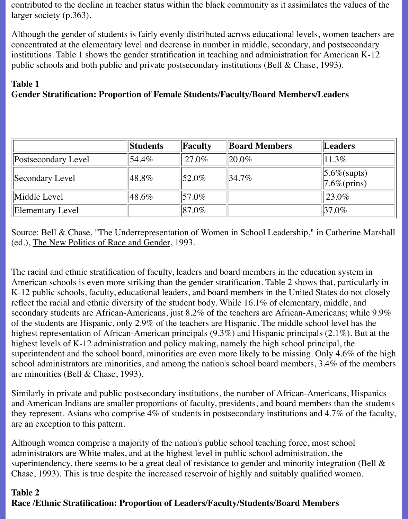contributed to the decline in teacher status within the black community as it assimilates the values of the larger society (p.363).

Although the gender of students is fairly evenly distributed across educational levels, women teachers are concentrated at the elementary level and decrease in number in middle, secondary, and postsecondary institutions. Table 1 shows the gender stratification in teaching and administration for American K-12 public schools and both public and private postsecondary institutions (Bell & Chase, 1993).

#### **Table 1**

## **Gender Stratification: Proportion of Female Students/Faculty/Board Members/Leaders**

|                         | <b>Students</b> | Faculty       | <b>Board Members</b> | Leaders                               |
|-------------------------|-----------------|---------------|----------------------|---------------------------------------|
| Postsecondary Level     | $154.4\%$       | $27.0\%$      | $ 20.0\%$            | $11.3\%$                              |
| Secondary Level         | $ 48.8\%$       | $\vert$ 52.0% | $34.7\%$             | $\ 5.6\%$ (supts)<br>$ 7.6\%$ (prins) |
| Middle Level            | $ 48.6\%$       | $157.0\%$     |                      | $ 23.0\%$                             |
| <b>Elementary Level</b> |                 | $ 87.0\% $    |                      | $ 37.0\%$                             |

Source: Bell & Chase, "The Underrepresentation of Women in School Leadership," in Catherine Marshall (ed.), The New Politics of Race and Gender, 1993.

The racial and ethnic stratification of faculty, leaders and board members in the education system in American schools is even more striking than the gender stratification. Table 2 shows that, particularly in K-12 public schools, faculty, educational leaders, and board members in the United States do not closely reflect the racial and ethnic diversity of the student body. While 16.1% of elementary, middle, and secondary students are African-Americans, just 8.2% of the teachers are African-Americans; while 9.9% of the students are Hispanic, only 2.9% of the teachers are Hispanic. The middle school level has the highest representation of African-American principals (9.3%) and Hispanic principals (2.1%). But at the highest levels of K-12 administration and policy making, namely the high school principal, the superintendent and the school board, minorities are even more likely to be missing. Only 4.6% of the high school administrators are minorities, and among the nation's school board members, 3.4% of the members are minorities (Bell & Chase, 1993).

Similarly in private and public postsecondary institutions, the number of African-Americans, Hispanics and American Indians are smaller proportions of faculty, presidents, and board members than the students they represent. Asians who comprise 4% of students in postsecondary institutions and 4.7% of the faculty, are an exception to this pattern.

Although women comprise a majority of the nation's public school teaching force, most school administrators are White males, and at the highest level in public school administration, the superintendency, there seems to be a great deal of resistance to gender and minority integration (Bell & Chase, 1993). This is true despite the increased reservoir of highly and suitably qualified women.

## **Table 2 Race /Ethnic Stratification: Proportion of Leaders/Faculty/Students/Board Members**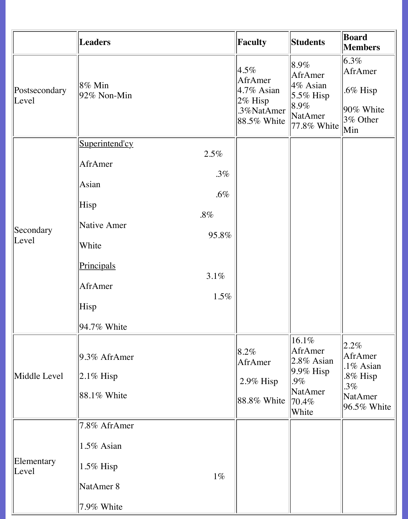|                                     | <b>Leaders</b>                                                                                                                                                                           | Faculty                                                                               | <b>Students</b>                                                                                    | Board<br><b>Members</b>                                                                 |
|-------------------------------------|------------------------------------------------------------------------------------------------------------------------------------------------------------------------------------------|---------------------------------------------------------------------------------------|----------------------------------------------------------------------------------------------------|-----------------------------------------------------------------------------------------|
| Postsecondary<br>Level              | $ 8\% \text{ Min} $<br>$92\%$ Non-Min                                                                                                                                                    | $ 4.5\% $<br>AfrAmer<br>$ 4.7\%$ Asian<br>$2\%$ Hisp<br>.3%NatAmer<br>$ 88.5\%$ White | $ 8.9\% $<br>AfrAmer<br>$4\%$ Asian<br>$5.5\%$ Hisp<br>$8.9\%$<br>NatAmer<br>$ 77.8\%$ White       | $6.3\%$<br>AfrAmer<br>$.6\%$ Hisp<br>$90\%$ White<br>$3\%$ Other<br>Min                 |
| Secondary<br>Level                  | Superintend'cy<br>2.5%<br>AfrAmer<br>$.3\%$<br>Asian<br>$.6\%$<br>Hisp<br>$.8\%$<br>Native Amer<br>95.8%<br>White<br>Principals<br>3.1%<br>AfrAmer<br>$1.5\%$<br>Hisp<br>$ 94.7\%$ White |                                                                                       |                                                                                                    |                                                                                         |
| Middle Level<br>Elementary<br>Level | $9.3\%$ AfrAmer<br>$ 2.1\%$ Hisp<br>$ 88.1\%$ White<br>$7.8\%$ AfrAmer<br>$1.5\%$ Asian<br>$1.5\%$ Hisp<br>$1\%$                                                                         | $8.2\%$<br>AfrAmer<br>$2.9\%$ Hisp<br>$88.8\%$ White                                  | $16.1\%$<br>AfrAmer<br>$ 2.8\%$ Asian<br>$9.9\%$ Hisp<br>$.9\%$<br>NatAmer<br>$\  70.4\%$<br>White | $ 2.2\% $<br>AfrAmer<br>.1% Asian<br>$.8\%$ Hisp<br>$.3\%$<br>NatAmer<br>$96.5\%$ White |
|                                     | NatAmer 8<br>$7.9\%$ White                                                                                                                                                               |                                                                                       |                                                                                                    |                                                                                         |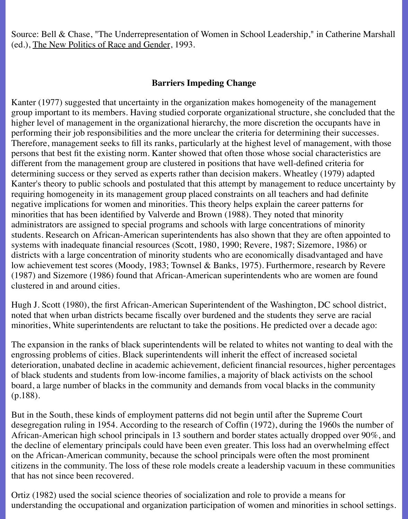Source: Bell & Chase, "The Underrepresentation of Women in School Leadership," in Catherine Marshall (ed.), The New Politics of Race and Gender, 1993.

## **Barriers Impeding Change**

Kanter (1977) suggested that uncertainty in the organization makes homogeneity of the management group important to its members. Having studied corporate organizational structure, she concluded that the higher level of management in the organizational hierarchy, the more discretion the occupants have in performing their job responsibilities and the more unclear the criteria for determining their successes. Therefore, management seeks to fill its ranks, particularly at the highest level of management, with those persons that best fit the existing norm. Kanter showed that often those whose social characteristics are different from the management group are clustered in positions that have well-defined criteria for determining success or they served as experts rather than decision makers. Wheatley (1979) adapted Kanter's theory to public schools and postulated that this attempt by management to reduce uncertainty by requiring homogeneity in its management group placed constraints on all teachers and had definite negative implications for women and minorities. This theory helps explain the career patterns for minorities that has been identified by Valverde and Brown (1988). They noted that minority administrators are assigned to special programs and schools with large concentrations of minority students. Research on African-American superintendents has also shown that they are often appointed to systems with inadequate financial resources (Scott, 1980, 1990; Revere, 1987; Sizemore, 1986) or districts with a large concentration of minority students who are economically disadvantaged and have low achievement test scores (Moody, 1983; Townsel & Banks, 1975). Furthermore, research by Revere (1987) and Sizemore (1986) found that African-American superintendents who are women are found clustered in and around cities.

Hugh J. Scott (1980), the first African-American Superintendent of the Washington, DC school district, noted that when urban districts became fiscally over burdened and the students they serve are racial minorities, White superintendents are reluctant to take the positions. He predicted over a decade ago:

The expansion in the ranks of black superintendents will be related to whites not wanting to deal with the engrossing problems of cities. Black superintendents will inherit the effect of increased societal deterioration, unabated decline in academic achievement, deficient financial resources, higher percentages of black students and students from low-income families, a majority of black activists on the school board, a large number of blacks in the community and demands from vocal blacks in the community (p.188).

But in the South, these kinds of employment patterns did not begin until after the Supreme Court desegregation ruling in 1954. According to the research of Coffin (1972), during the 1960s the number of African-American high school principals in 13 southern and border states actually dropped over 90%, and the decline of elementary principals could have been even greater. This loss had an overwhelming effect on the African-American community, because the school principals were often the most prominent citizens in the community. The loss of these role models create a leadership vacuum in these communities that has not since been recovered.

Ortiz (1982) used the social science theories of socialization and role to provide a means for understanding the occupational and organization participation of women and minorities in school settings.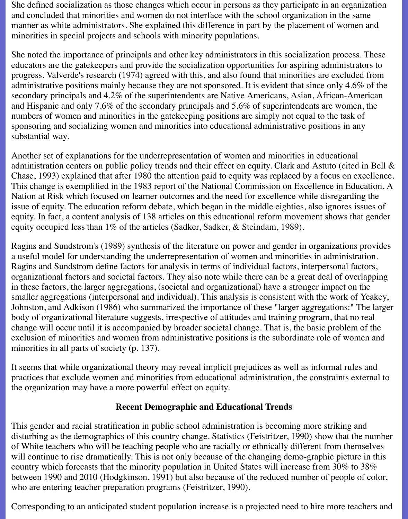She defined socialization as those changes which occur in persons as they participate in an organization and concluded that minorities and women do not interface with the school organization in the same manner as white administrators. She explained this difference in part by the placement of women and minorities in special projects and schools with minority populations.

She noted the importance of principals and other key administrators in this socialization process. These educators are the gatekeepers and provide the socialization opportunities for aspiring administrators to progress. Valverde's research (1974) agreed with this, and also found that minorities are excluded from administrative positions mainly because they are not sponsored. It is evident that since only 4.6% of the secondary principals and 4.2% of the superintendents are Native Americans, Asian, African-American and Hispanic and only 7.6% of the secondary principals and 5.6% of superintendents are women, the numbers of women and minorities in the gatekeeping positions are simply not equal to the task of sponsoring and socializing women and minorities into educational administrative positions in any substantial way.

Another set of explanations for the underrepresentation of women and minorities in educational administration centers on public policy trends and their effect on equity. Clark and Astuto (cited in Bell & Chase, 1993) explained that after 1980 the attention paid to equity was replaced by a focus on excellence. This change is exemplified in the 1983 report of the National Commission on Excellence in Education, A Nation at Risk which focused on learner outcomes and the need for excellence while disregarding the issue of equity. The education reform debate, which began in the middle eighties, also ignores issues of equity. In fact, a content analysis of 138 articles on this educational reform movement shows that gender equity occupied less than 1% of the articles (Sadker, Sadker, & Steindam, 1989).

Ragins and Sundstrom's (1989) synthesis of the literature on power and gender in organizations provides a useful model for understanding the underrepresentation of women and minorities in administration. Ragins and Sundstrom define factors for analysis in terms of individual factors, interpersonal factors, organizational factors and societal factors. They also note while there can be a great deal of overlapping in these factors, the larger aggregations, (societal and organizational) have a stronger impact on the smaller aggregations (interpersonal and individual). This analysis is consistent with the work of Yeakey, Johnston, and Adkison (1986) who summarized the importance of these "larger aggregations:" The larger body of organizational literature suggests, irrespective of attitudes and training program, that no real change will occur until it is accompanied by broader societal change. That is, the basic problem of the exclusion of minorities and women from administrative positions is the subordinate role of women and minorities in all parts of society (p. 137).

It seems that while organizational theory may reveal implicit prejudices as well as informal rules and practices that exclude women and minorities from educational administration, the constraints external to the organization may have a more powerful effect on equity.

#### **Recent Demographic and Educational Trends**

This gender and racial stratification in public school administration is becoming more striking and disturbing as the demographics of this country change. Statistics (Feistritzer, 1990) show that the number of White teachers who will be teaching people who are racially or ethnically different from themselves will continue to rise dramatically. This is not only because of the changing demo-graphic picture in this country which forecasts that the minority population in United States will increase from 30% to 38% between 1990 and 2010 (Hodgkinson, 1991) but also because of the reduced number of people of color, who are entering teacher preparation programs (Feistritzer, 1990).

Corresponding to an anticipated student population increase is a projected need to hire more teachers and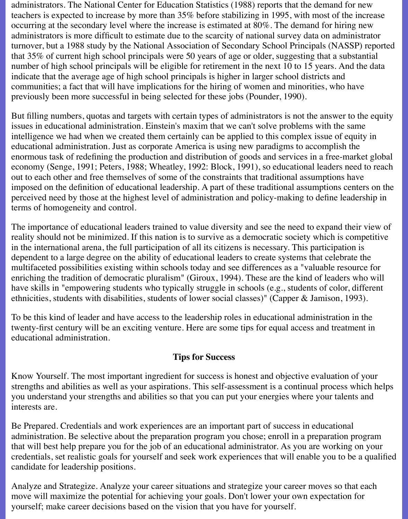administrators. The National Center for Education Statistics (1988) reports that the demand for new teachers is expected to increase by more than 35% before stabilizing in 1995, with most of the increase occurring at the secondary level where the increase is estimated at 80%. The demand for hiring new administrators is more difficult to estimate due to the scarcity of national survey data on administrator turnover, but a 1988 study by the National Association of Secondary School Principals (NASSP) reported that 35% of current high school principals were 50 years of age or older, suggesting that a substantial number of high school principals will be eligible for retirement in the next 10 to 15 years. And the data indicate that the average age of high school principals is higher in larger school districts and communities; a fact that will have implications for the hiring of women and minorities, who have previously been more successful in being selected for these jobs (Pounder, 1990).

But filling numbers, quotas and targets with certain types of administrators is not the answer to the equity issues in educational administration. Einstein's maxim that we can't solve problems with the same intelligence we had when we created them certainly can be applied to this complex issue of equity in educational administration. Just as corporate America is using new paradigms to accomplish the enormous task of redefining the production and distribution of goods and services in a free-market global economy (Senge, 1991; Peters, 1988; Wheatley, 1992: Block, 1991), so educational leaders need to reach out to each other and free themselves of some of the constraints that traditional assumptions have imposed on the definition of educational leadership. A part of these traditional assumptions centers on the perceived need by those at the highest level of administration and policy-making to define leadership in terms of homogeneity and control.

The importance of educational leaders trained to value diversity and see the need to expand their view of reality should not be minimized. If this nation is to survive as a democratic society which is competitive in the international arena, the full participation of all its citizens is necessary. This participation is dependent to a large degree on the ability of educational leaders to create systems that celebrate the multifaceted possibilities existing within schools today and see differences as a "valuable resource for enriching the tradition of democratic pluralism" (Giroux, 1994). These are the kind of leaders who will have skills in "empowering students who typically struggle in schools (e.g., students of color, different ethnicities, students with disabilities, students of lower social classes)" (Capper & Jamison, 1993).

To be this kind of leader and have access to the leadership roles in educational administration in the twenty-first century will be an exciting venture. Here are some tips for equal access and treatment in educational administration.

## **Tips for Success**

Know Yourself. The most important ingredient for success is honest and objective evaluation of your strengths and abilities as well as your aspirations. This self-assessment is a continual process which helps you understand your strengths and abilities so that you can put your energies where your talents and interests are.

Be Prepared. Credentials and work experiences are an important part of success in educational administration. Be selective about the preparation program you chose; enroll in a preparation program that will best help prepare you for the job of an educational administrator. As you are working on your credentials, set realistic goals for yourself and seek work experiences that will enable you to be a qualified candidate for leadership positions.

Analyze and Strategize. Analyze your career situations and strategize your career moves so that each move will maximize the potential for achieving your goals. Don't lower your own expectation for yourself; make career decisions based on the vision that you have for yourself.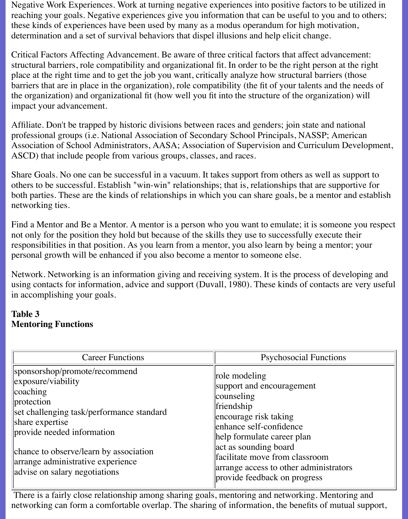Negative Work Experiences. Work at turning negative experiences into positive factors to be utilized in reaching your goals. Negative experiences give you information that can be useful to you and to others; these kinds of experiences have been used by many as a modus operandum for high motivation, determination and a set of survival behaviors that dispel illusions and help elicit change.

Critical Factors Affecting Advancement. Be aware of three critical factors that affect advancement: structural barriers, role compatibility and organizational fit. In order to be the right person at the right place at the right time and to get the job you want, critically analyze how structural barriers (those barriers that are in place in the organization), role compatibility (the fit of your talents and the needs of the organization) and organizational fit (how well you fit into the structure of the organization) will impact your advancement.

Affiliate. Don't be trapped by historic divisions between races and genders; join state and national professional groups (i.e. National Association of Secondary School Principals, NASSP; American Association of School Administrators, AASA; Association of Supervision and Curriculum Development, ASCD) that include people from various groups, classes, and races.

Share Goals. No one can be successful in a vacuum. It takes support from others as well as support to others to be successful. Establish "win-win" relationships; that is, relationships that are supportive for both parties. These are the kinds of relationships in which you can share goals, be a mentor and establish networking ties.

Find a Mentor and Be a Mentor. A mentor is a person who you want to emulate; it is someone you respect not only for the position they hold but because of the skills they use to successfully execute their responsibilities in that position. As you learn from a mentor, you also learn by being a mentor; your personal growth will be enhanced if you also become a mentor to someone else.

Network. Networking is an information giving and receiving system. It is the process of developing and using contacts for information, advice and support (Duvall, 1980). These kinds of contacts are very useful in accomplishing your goals.

## **Table 3 Mentoring Functions**

| <b>Career Functions</b>                                                                                                                                                                                                                                                                          | <b>Psychosocial Functions</b>                                                                                                                                                                                                                                                                 |
|--------------------------------------------------------------------------------------------------------------------------------------------------------------------------------------------------------------------------------------------------------------------------------------------------|-----------------------------------------------------------------------------------------------------------------------------------------------------------------------------------------------------------------------------------------------------------------------------------------------|
| sponsorshop/promote/recommend<br>$\exposure/viability$<br> coaching <br>protection<br>set challenging task/performance standard<br>share expertise<br>provide needed information<br>chance to observe/learn by association<br>arrange administrative experience<br>advise on salary negotiations | role modeling<br>support and encouragement<br>counseling<br>friendship<br>encourage risk taking<br>enhance self-confidence<br>help formulate career plan<br>act as sounding board<br>facilitate move from classroom<br>arrange access to other administrators<br>provide feedback on progress |

 There is a fairly close relationship among sharing goals, mentoring and networking. Mentoring and networking can form a comfortable overlap. The sharing of information, the benefits of mutual support,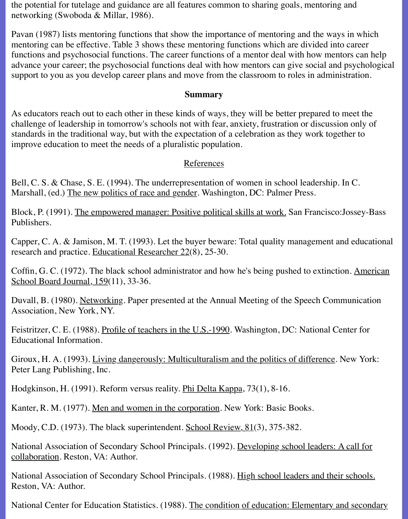the potential for tutelage and guidance are all features common to sharing goals, mentoring and networking (Swoboda & Millar, 1986).

Pavan (1987) lists mentoring functions that show the importance of mentoring and the ways in which mentoring can be effective. Table 3 shows these mentoring functions which are divided into career functions and psychosocial functions. The career functions of a mentor deal with how mentors can help advance your career; the psychosocial functions deal with how mentors can give social and psychological support to you as you develop career plans and move from the classroom to roles in administration.

#### **Summary**

As educators reach out to each other in these kinds of ways, they will be better prepared to meet the challenge of leadership in tomorrow's schools not with fear, anxiety, frustration or discussion only of standards in the traditional way, but with the expectation of a celebration as they work together to improve education to meet the needs of a pluralistic population.

## References

Bell, C. S. & Chase, S. E. (1994). The underrepresentation of women in school leadership. In C. Marshall, (ed.) The new politics of race and gender. Washington, DC: Palmer Press.

Block, P. (1991). The empowered manager: Positive political skills at work. San Francisco:Jossey-Bass Publishers.

Capper, C. A. & Jamison, M. T. (1993). Let the buyer beware: Total quality management and educational research and practice. Educational Researcher 22(8), 25-30.

Coffin, G. C. (1972). The black school administrator and how he's being pushed to extinction. American School Board Journal, 159(11), 33-36.

Duvall, B. (1980). Networking. Paper presented at the Annual Meeting of the Speech Communication Association, New York, NY.

Feistritzer, C. E. (1988). Profile of teachers in the U.S.-1990. Washington, DC: National Center for Educational Information.

Giroux, H. A. (1993). Living dangerously: Multiculturalism and the politics of difference. New York: Peter Lang Publishing, Inc.

Hodgkinson, H. (1991). Reform versus reality. Phi Delta Kappa, 73(1), 8-16.

Kanter, R. M. (1977). Men and women in the corporation. New York: Basic Books.

Moody, C.D. (1973). The black superintendent. School Review, 81(3), 375-382.

National Association of Secondary School Principals. (1992). Developing school leaders: A call for collaboration. Reston, VA: Author.

National Association of Secondary School Principals. (1988). High school leaders and their schools. Reston, VA: Author.

National Center for Education Statistics. (1988). The condition of education: Elementary and secondary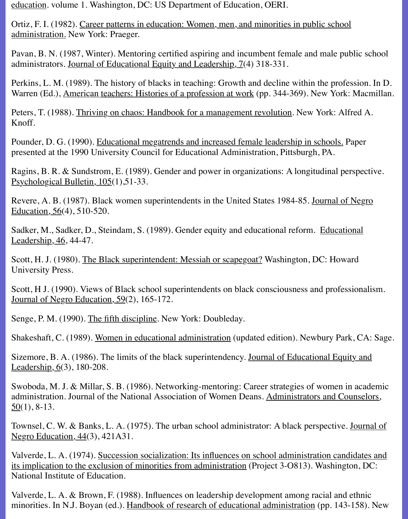education. volume 1. Washington, DC: US Department of Education, OERI.

Ortiz, F. I. (1982). Career patterns in education: Women, men, and minorities in public school administration. New York: Praeger.

Pavan, B. N. (1987, Winter). Mentoring certified aspiring and incumbent female and male public school administrators. Journal of Educational Equity and Leadership, 7(4) 318-331.

Perkins, L. M. (1989). The history of blacks in teaching: Growth and decline within the profession. In D. Warren (Ed.), American teachers: Histories of a profession at work (pp. 344-369). New York: Macmillan.

Peters, T. (1988). Thriving on chaos: Handbook for a management revolution. New York: Alfred A. Knoff.

Pounder, D. G. (1990). Educational megatrends and increased female leadership in schools. Paper presented at the 1990 University Council for Educational Administration, Pittsburgh, PA.

Ragins, B. R. & Sundstrom, E. (1989). Gender and power in organizations: A longitudinal perspective. Psychological Bulletin, 105(1), 51-33.

Revere, A. B. (1987). Black women superintendents in the United States 1984-85. Journal of Negro Education, 56(4), 510-520.

Sadker, M., Sadker, D., Steindam, S. (1989). Gender equity and educational reform. Educational Leadership, 46, 44-47.

Scott, H. J. (1980). The Black superintendent: Messiah or scapegoat? Washington, DC: Howard University Press.

Scott, H J. (1990). Views of Black school superintendents on black consciousness and professionalism. Journal of Negro Education, 59(2), 165-172.

Senge, P. M. (1990). The fifth discipline. New York: Doubleday.

Shakeshaft, C. (1989). Women in educational administration (updated edition). Newbury Park, CA: Sage.

Sizemore, B. A. (1986). The limits of the black superintendency. Journal of Educational Equity and Leadership,  $6(3)$ , 180-208.

Swoboda, M. J. & Millar, S. B. (1986). Networking-mentoring: Career strategies of women in academic administration. Journal of the National Association of Women Deans. Administrators and Counselors,  $50(1)$ , 8-13.

Townsel, C. W. & Banks, L. A. (1975). The urban school administrator: A black perspective. Journal of Negro Education, 44(3), 421A31.

Valverde, L. A. (1974). Succession socialization: Its influences on school administration candidates and its implication to the exclusion of minorities from administration (Project 3-O813). Washington, DC: National Institute of Education.

Valverde, L. A. & Brown, F. (1988). Influences on leadership development among racial and ethnic minorities. In N.J. Boyan (ed.). Handbook of research of educational administration (pp. 143-158). New